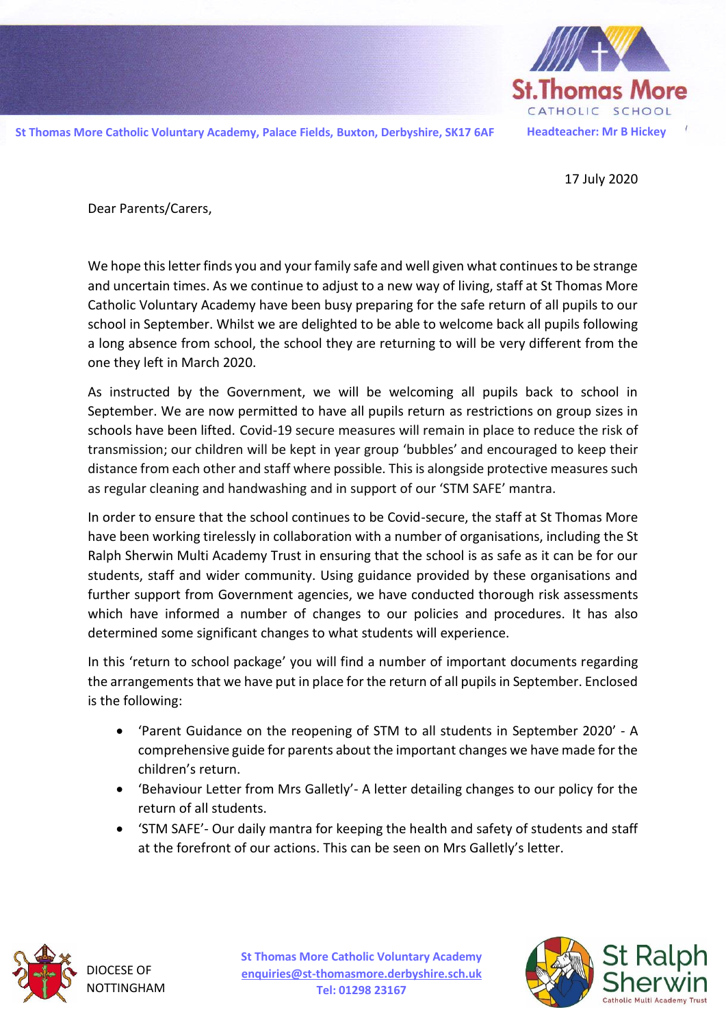

**St Thomas More Catholic Voluntary Academy, Palace Fields, Buxton, Derbyshire, SK17 6AF Headteacher: Mr B Hickey**

17 July 2020

Dear Parents/Carers,

We hope this letter finds you and your family safe and well given what continues to be strange and uncertain times. As we continue to adjust to a new way of living, staff at St Thomas More Catholic Voluntary Academy have been busy preparing for the safe return of all pupils to our school in September. Whilst we are delighted to be able to welcome back all pupils following a long absence from school, the school they are returning to will be very different from the one they left in March 2020.

As instructed by the Government, we will be welcoming all pupils back to school in September. We are now permitted to have all pupils return as restrictions on group sizes in schools have been lifted. Covid-19 secure measures will remain in place to reduce the risk of transmission; our children will be kept in year group 'bubbles' and encouraged to keep their distance from each other and staff where possible. This is alongside protective measures such as regular cleaning and handwashing and in support of our 'STM SAFE' mantra.

In order to ensure that the school continues to be Covid-secure, the staff at St Thomas More have been working tirelessly in collaboration with a number of organisations, including the St Ralph Sherwin Multi Academy Trust in ensuring that the school is as safe as it can be for our students, staff and wider community. Using guidance provided by these organisations and further support from Government agencies, we have conducted thorough risk assessments which have informed a number of changes to our policies and procedures. It has also determined some significant changes to what students will experience.

In this 'return to school package' you will find a number of important documents regarding the arrangements that we have put in place for the return of all pupils in September. Enclosed is the following:

- 'Parent Guidance on the reopening of STM to all students in September 2020' A comprehensive guide for parents about the important changes we have made for the children's return.
- 'Behaviour Letter from Mrs Galletly'- A letter detailing changes to our policy for the return of all students.
- 'STM SAFE'- Our daily mantra for keeping the health and safety of students and staff at the forefront of our actions. This can be seen on Mrs Galletly's letter.